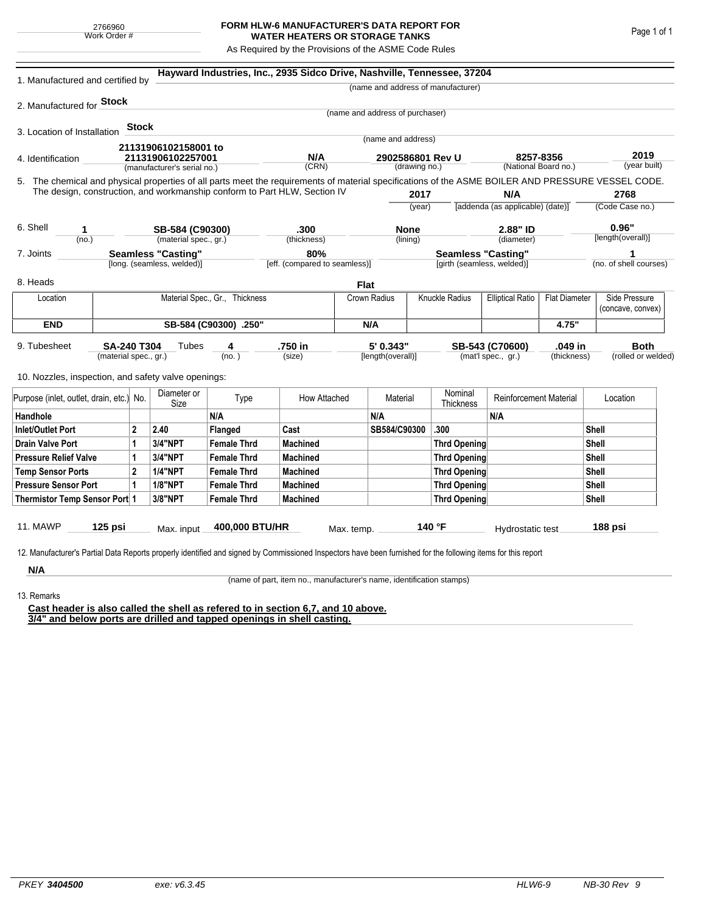## **FORM HLW-6 MANUFACTURER'S DATA REPORT FOR WATER HEATERS OR STORAGE TANKS**

As Required by the Provisions of the ASME Code Rules

| 1. Manufactured and certified by                                                                                                                                                                                                |                                                         |                |                             |                                | Hayward Industries, Inc., 2935 Sidco Drive, Nashville, Tennessee, 37204 |                                      |                                   |                     |                                                         |                                  |                                   |                        |                      |  |
|---------------------------------------------------------------------------------------------------------------------------------------------------------------------------------------------------------------------------------|---------------------------------------------------------|----------------|-----------------------------|--------------------------------|-------------------------------------------------------------------------|--------------------------------------|-----------------------------------|---------------------|---------------------------------------------------------|----------------------------------|-----------------------------------|------------------------|----------------------|--|
|                                                                                                                                                                                                                                 |                                                         |                |                             |                                |                                                                         |                                      |                                   |                     | (name and address of manufacturer)                      |                                  |                                   |                        |                      |  |
| 2. Manufactured for <b>Stock</b>                                                                                                                                                                                                |                                                         |                |                             |                                |                                                                         |                                      |                                   |                     |                                                         |                                  |                                   |                        |                      |  |
|                                                                                                                                                                                                                                 |                                                         |                |                             |                                |                                                                         |                                      | (name and address of purchaser)   |                     |                                                         |                                  |                                   |                        |                      |  |
| 3. Location of Installation                                                                                                                                                                                                     |                                                         | Stock          |                             |                                |                                                                         |                                      | (name and address)                |                     |                                                         |                                  |                                   |                        |                      |  |
|                                                                                                                                                                                                                                 |                                                         |                | 21131906102158001 to        |                                |                                                                         |                                      |                                   |                     |                                                         |                                  |                                   |                        |                      |  |
| 4. Identification                                                                                                                                                                                                               |                                                         |                | 21131906102257001           |                                | N/A<br>(CRN)                                                            |                                      | 2902586801 Rev U<br>(drawing no.) |                     |                                                         |                                  | 8257-8356<br>(National Board no.) |                        | 2019<br>(year built) |  |
|                                                                                                                                                                                                                                 |                                                         |                | (manufacturer's serial no.) |                                |                                                                         |                                      |                                   |                     |                                                         |                                  |                                   |                        |                      |  |
| 5. The chemical and physical properties of all parts meet the requirements of material specifications of the ASME BOILER AND PRESSURE VESSEL CODE.<br>The design, construction, and workmanship conform to Part HLW, Section IV |                                                         |                |                             |                                |                                                                         |                                      |                                   | 2017                |                                                         | N/A                              |                                   |                        | 2768                 |  |
|                                                                                                                                                                                                                                 |                                                         |                |                             |                                |                                                                         |                                      | (year)                            |                     |                                                         | [addenda (as applicable) (date)] |                                   | (Code Case no.)        |                      |  |
|                                                                                                                                                                                                                                 |                                                         |                |                             |                                |                                                                         |                                      |                                   |                     |                                                         |                                  |                                   |                        |                      |  |
| 6. Shell<br>1                                                                                                                                                                                                                   |                                                         |                | SB-584 (C90300)             |                                | .300                                                                    |                                      | <b>None</b>                       |                     | 2.88" ID                                                |                                  | 0.96"                             |                        |                      |  |
| (no.)                                                                                                                                                                                                                           |                                                         |                | (material spec., gr.)       |                                | (thickness)                                                             |                                      | (lining)                          |                     |                                                         | (diameter)                       |                                   |                        | [length(overall)]    |  |
| 7. Joints                                                                                                                                                                                                                       | <b>Seamless "Casting"</b><br>[long. (seamless, welded)] |                |                             |                                |                                                                         | 80%<br>[eff. (compared to seamless)] |                                   |                     | <b>Seamless "Casting"</b><br>[girth (seamless, welded)] |                                  |                                   | (no. of shell courses) |                      |  |
|                                                                                                                                                                                                                                 |                                                         |                |                             |                                |                                                                         |                                      |                                   |                     |                                                         |                                  |                                   |                        |                      |  |
| 8. Heads                                                                                                                                                                                                                        |                                                         |                |                             |                                |                                                                         | <b>Flat</b>                          |                                   |                     |                                                         |                                  |                                   |                        |                      |  |
| Location                                                                                                                                                                                                                        |                                                         |                |                             | Material Spec., Gr., Thickness |                                                                         |                                      | Crown Radius                      |                     | Knuckle Radius<br><b>Elliptical Ratio</b>               |                                  | <b>Flat Diameter</b>              |                        | Side Pressure        |  |
|                                                                                                                                                                                                                                 |                                                         |                |                             |                                |                                                                         |                                      |                                   |                     |                                                         |                                  |                                   |                        | (concave, convex)    |  |
| <b>END</b>                                                                                                                                                                                                                      | SB-584 (C90300) .250"                                   |                |                             |                                |                                                                         |                                      | N/A                               |                     |                                                         |                                  | 4.75"                             |                        |                      |  |
| 9. Tubesheet<br><b>SA-240 T304</b><br>(material spec., gr.)                                                                                                                                                                     |                                                         |                | Tubes                       | 4                              | .750 in                                                                 |                                      | 5' 0.343"                         |                     | .049 in<br>SB-543 (C70600)                              |                                  |                                   | <b>Both</b>            |                      |  |
|                                                                                                                                                                                                                                 |                                                         |                | (no. )                      |                                | (size)                                                                  |                                      | [length(overall)]                 |                     | (mat'l spec., gr.)                                      |                                  | (thickness)                       | (rolled or welded)     |                      |  |
| 10. Nozzles, inspection, and safety valve openings:                                                                                                                                                                             |                                                         |                |                             |                                |                                                                         |                                      |                                   |                     |                                                         |                                  |                                   |                        |                      |  |
| Purpose (inlet, outlet, drain, etc.) No.                                                                                                                                                                                        |                                                         |                | Diameter or                 |                                | Type<br>How Attached                                                    |                                      | Material                          |                     | Nominal                                                 | <b>Reinforcement Material</b>    |                                   |                        | Location             |  |
|                                                                                                                                                                                                                                 |                                                         |                | Size                        | N/A                            |                                                                         |                                      | N/A                               |                     | Thickness                                               | N/A                              |                                   |                        |                      |  |
| Handhole<br><b>Inlet/Outlet Port</b>                                                                                                                                                                                            |                                                         | 2.40           | Flanged                     | Cast                           |                                                                         | SB584/C90300                         |                                   | .300                |                                                         |                                  | Shell                             |                        |                      |  |
| 2<br>1                                                                                                                                                                                                                          |                                                         | <b>3/4"NPT</b> | <b>Female Thrd</b>          | <b>Machined</b>                |                                                                         |                                      |                                   | <b>Thrd Opening</b> |                                                         |                                  | Shell                             |                        |                      |  |
| <b>Drain Valve Port</b><br><b>Pressure Relief Valve</b><br>1                                                                                                                                                                    |                                                         |                | 3/4"NPT                     | <b>Female Thrd</b>             | <b>Machined</b>                                                         |                                      |                                   |                     | <b>Thrd Opening</b>                                     |                                  |                                   | Shell                  |                      |  |
| $\overline{2}$<br><b>Temp Sensor Ports</b>                                                                                                                                                                                      |                                                         |                | <b>1/4"NPT</b>              | <b>Female Thrd</b>             | <b>Machined</b>                                                         |                                      |                                   | <b>Thrd Opening</b> |                                                         |                                  |                                   | Shell                  |                      |  |
| <b>Pressure Sensor Port</b><br>1                                                                                                                                                                                                |                                                         |                | <b>1/8"NPT</b>              | <b>Female Thrd</b>             | <b>Machined</b>                                                         |                                      |                                   | Thrd Opening        |                                                         |                                  |                                   | Shell                  |                      |  |
| Thermistor Temp Sensor Port 1                                                                                                                                                                                                   |                                                         |                | 3/8"NPT                     | <b>Female Thrd</b>             | <b>Machined</b>                                                         |                                      |                                   | Thrd Opening        |                                                         |                                  |                                   |                        | Shell                |  |
|                                                                                                                                                                                                                                 |                                                         |                |                             |                                |                                                                         |                                      |                                   |                     |                                                         |                                  |                                   |                        |                      |  |
| 11. MAWP                                                                                                                                                                                                                        | $125$ psi                                               |                | Max. input                  | 400,000 BTU/HR                 |                                                                         | Max. temp.                           |                                   |                     | 140 °F                                                  | Hydrostatic test                 |                                   |                        | 188 psi              |  |
|                                                                                                                                                                                                                                 |                                                         |                |                             |                                |                                                                         |                                      |                                   |                     |                                                         |                                  |                                   |                        |                      |  |
| 12. Manufacturer's Partial Data Reports properly identified and signed by Commissioned Inspectors have been furnished for the following items for this report                                                                   |                                                         |                |                             |                                |                                                                         |                                      |                                   |                     |                                                         |                                  |                                   |                        |                      |  |
| N/A                                                                                                                                                                                                                             |                                                         |                |                             |                                |                                                                         |                                      |                                   |                     |                                                         |                                  |                                   |                        |                      |  |

(name of part, item no., manufacturer's name, identification stamps)

13. Remarks

**Cast header is also called the shell as refered to in section 6,7, and 10 above. 3/4" and below ports are drilled and tapped openings in shell casting.**